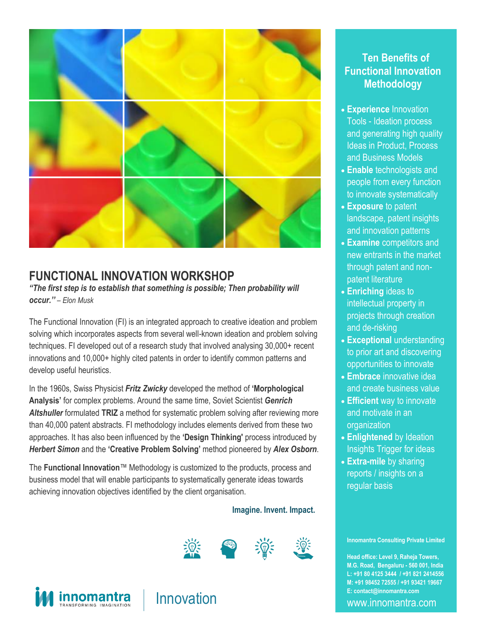

### **FUNCTIONAL INNOVATION WORKSHOP**

*"The first step is to establish that something is possible; Then probability will occur.'' – Elon Musk*

The Functional Innovation (FI) is an integrated approach to creative ideation and problem solving which incorporates aspects from several well-known ideation and problem solving techniques. FI developed out of a research study that involved analysing 30,000+ recent innovations and 10,000+ highly cited patents in order to identify common patterns and develop useful heuristics.

In the 1960s, Swiss Physicist *Fritz Zwicky* developed the method of **'Morphological Analysis'** for complex problems. Around the same time, Soviet Scientist *Genrich Altshuller* formulated **TRIZ** a method for systematic problem solving after reviewing more than 40,000 patent abstracts. FI methodology includes elements derived from these two approaches. It has also been influenced by the **'Design Thinking'** process introduced by *Herbert Simon* and the **'Creative Problem Solving'** method pioneered by *Alex Osborn*.

The **Functional Innovation**™ Methodology is customized to the products, process and business model that will enable participants to systematically generate ideas towards achieving innovation objectives identified by the client organisation.

#### **Imagine. Invent. Impact.**







**Ten Benefits of Functional Innovation Methodology**

- **Experience** Innovation Tools - Ideation process and generating high quality Ideas in Product, Process and Business Models
- **Enable** technologists and people from every function to innovate systematically
- **Exposure** to patent landscape, patent insights and innovation patterns
- **Examine** competitors and new entrants in the market through patent and nonpatent literature
- **Enriching** ideas to intellectual property in projects through creation and de-risking
- **Exceptional** understanding to prior art and discovering opportunities to innovate
- **Embrace** innovative idea and create business value
- **Efficient** way to innovate and motivate in an **organization**
- **Enlightened** by Ideation Insights Trigger for ideas
- **Extra-mile** by sharing reports / insights on a regular basis

**Innomantra Consulting Private Limited**

E: contact@innomantra.com **Head office: Level 9, Raheja Towers, M.G. Road, Bengaluru - 560 001, India L: +91 80 4125 3444 / +91 821 2414556 M: +91 98452 72555 / +91 93421 19667**

www.innomantra.com Level 9, Raheja Towers | M.G. Road,